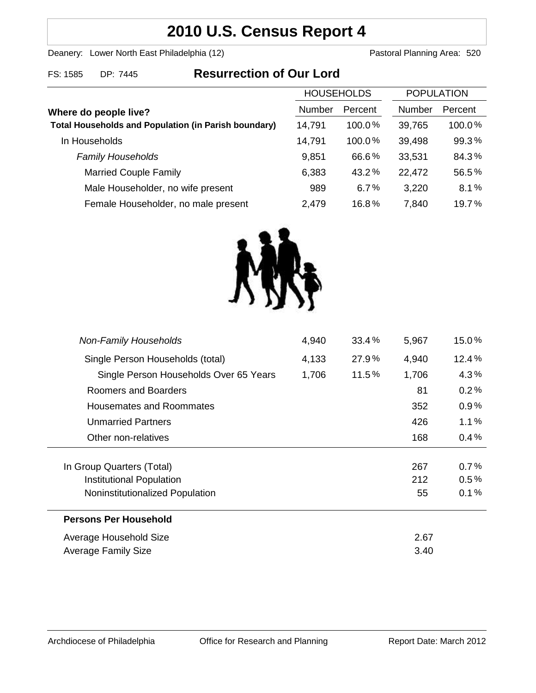# **2010 U.S. Census Report 4**

Deanery: Lower North East Philadelphia (12) Deanery: Lower North East Philadelphia (12)

FS: 1585 DP: 7445 **Resurrection of Our Lord**

| <b>HOUSEHOLDS</b> |           | <b>POPULATION</b> |         |
|-------------------|-----------|-------------------|---------|
| <b>Number</b>     |           | Number            | Percent |
| 14,791            | $100.0\%$ | 39,765            | 100.0%  |
| 14,791            | 100.0%    | 39,498            | 99.3%   |
| 9,851             | 66.6%     | 33,531            | 84.3%   |
| 6,383             | 43.2%     | 22,472            | 56.5%   |
| 989               | 6.7%      | 3,220             | 8.1%    |
| 2,479             | 16.8%     | 7,840             | 19.7%   |
|                   |           | Percent           |         |



| 4,940 | 33.4%    | 5,967 | 15.0%   |
|-------|----------|-------|---------|
| 4,133 | 27.9%    | 4,940 | 12.4%   |
| 1,706 | $11.5\%$ | 1,706 | 4.3%    |
|       |          | 81    | 0.2%    |
|       |          | 352   | $0.9\%$ |
|       |          | 426   | 1.1%    |
|       |          | 168   | 0.4%    |
|       |          |       |         |
|       |          | 267   | 0.7%    |
|       |          | 212   | 0.5%    |
|       |          | 55    | 0.1%    |
|       |          |       |         |
|       |          | 2.67  |         |
|       |          | 3.40  |         |
|       |          |       |         |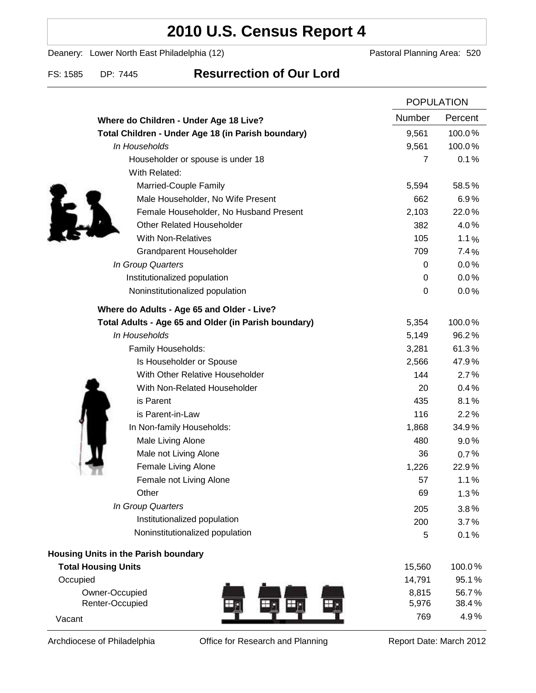# **2010 U.S. Census Report 4**

Deanery: Lower North East Philadelphia (12) Deanery: Lower North East Philadelphia (12)

### FS: 1585 DP: 7445 **Resurrection of Our Lord**

|                                                      |        | <b>POPULATION</b>      |  |
|------------------------------------------------------|--------|------------------------|--|
| Where do Children - Under Age 18 Live?               | Number | Percent                |  |
| Total Children - Under Age 18 (in Parish boundary)   | 9,561  | 100.0%                 |  |
| In Households                                        | 9,561  | 100.0%                 |  |
| Householder or spouse is under 18                    |        | $\overline{7}$<br>0.1% |  |
| With Related:                                        |        |                        |  |
| Married-Couple Family                                | 5,594  | 58.5%                  |  |
| Male Householder, No Wife Present                    | 662    | 6.9%                   |  |
| Female Householder, No Husband Present               | 2,103  | 22.0%                  |  |
| <b>Other Related Householder</b>                     | 382    | 4.0%                   |  |
| <b>With Non-Relatives</b>                            | 105    | 1.1%                   |  |
| Grandparent Householder                              | 709    | 7.4%                   |  |
| In Group Quarters                                    |        | 0.0%<br>0              |  |
| Institutionalized population                         |        | 0.0%<br>0              |  |
| Noninstitutionalized population                      |        | 0<br>0.0%              |  |
| Where do Adults - Age 65 and Older - Live?           |        |                        |  |
| Total Adults - Age 65 and Older (in Parish boundary) | 5,354  | 100.0%                 |  |
| In Households                                        | 5,149  | 96.2%                  |  |
| Family Households:                                   | 3,281  | 61.3%                  |  |
| Is Householder or Spouse                             | 2,566  | 47.9%                  |  |
| With Other Relative Householder                      | 144    | 2.7%                   |  |
| With Non-Related Householder                         | 20     | 0.4%                   |  |
| is Parent                                            | 435    | 8.1%                   |  |
| is Parent-in-Law                                     | 116    | 2.2%                   |  |
| In Non-family Households:                            | 1,868  | 34.9%                  |  |
| Male Living Alone                                    | 480    | $9.0\%$                |  |
| Male not Living Alone                                | 36     | 0.7%                   |  |
| Female Living Alone                                  | 1,226  | 22.9%                  |  |
| Female not Living Alone                              | 57     | 1.1%                   |  |
| Other                                                | 69     | 1.3%                   |  |
| In Group Quarters                                    | 205    | 3.8%                   |  |
| Institutionalized population                         | 200    | 3.7%                   |  |
| Noninstitutionalized population                      |        | 5<br>0.1%              |  |
| Housing Units in the Parish boundary                 |        |                        |  |
| <b>Total Housing Units</b>                           | 15,560 | 100.0%                 |  |
| Occupied                                             | 14,791 | 95.1%                  |  |
| Owner-Occupied                                       | 8,815  | 56.7%                  |  |
| Renter-Occupied                                      | 5,976  | 38.4%                  |  |
| Vacant                                               |        | 4.9%<br>769            |  |

Archdiocese of Philadelphia **Office for Research and Planning** Report Date: March 2012